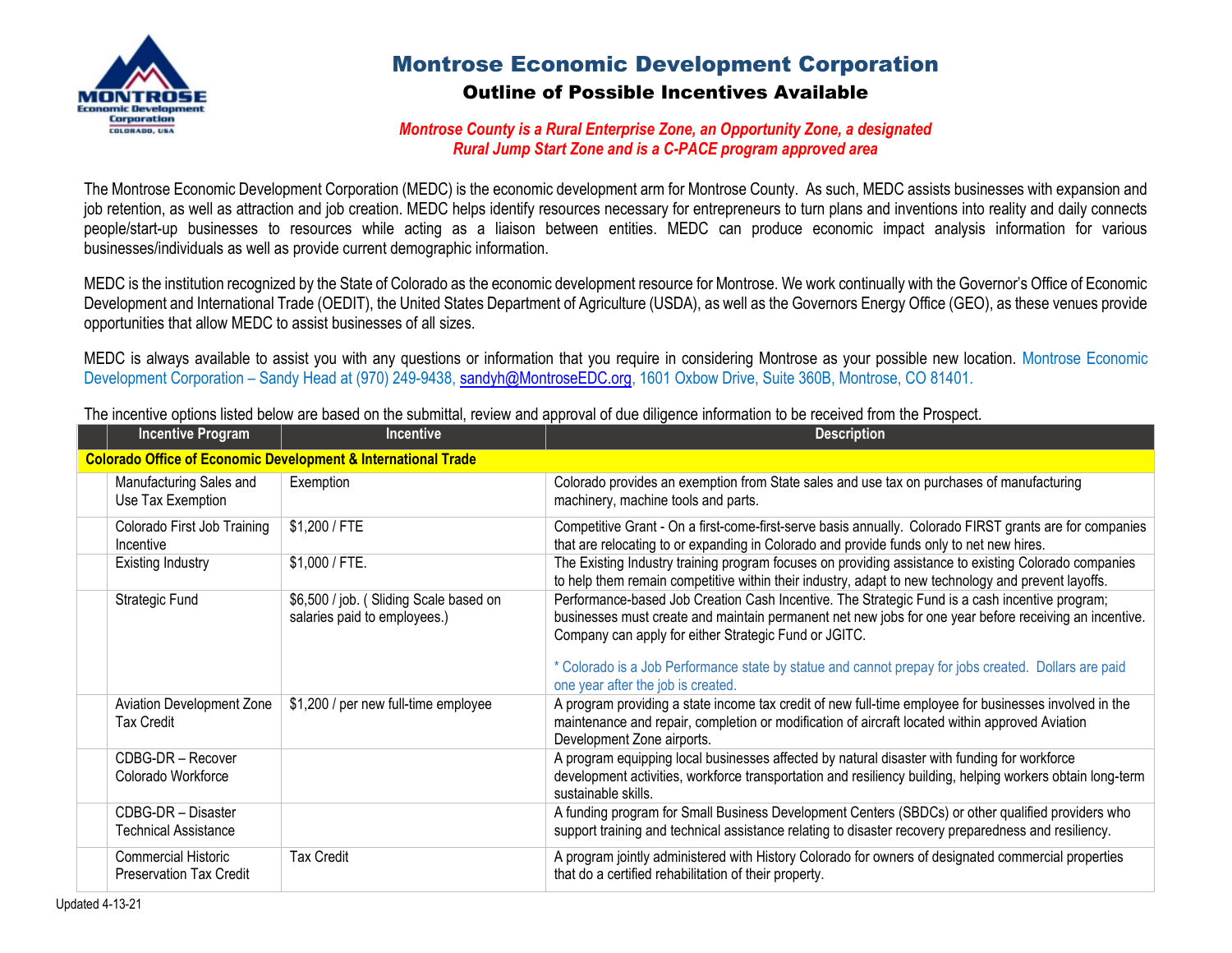

## Montrose Economic Development Corporation Outline of Possible Incentives Available

## *Montrose County is a Rural Enterprise Zone, an Opportunity Zone, a designated Rural Jump Start Zone and is a C-PACE program approved area*

The Montrose Economic Development Corporation (MEDC) is the economic development arm for Montrose County. As such, MEDC assists businesses with expansion and job retention, as well as attraction and job creation. MEDC helps identify resources necessary for entrepreneurs to turn plans and inventions into reality and daily connects people/start-up businesses to resources while acting as a liaison between entities. MEDC can produce economic impact analysis information for various businesses/individuals as well as provide current demographic information.

MEDC is the institution recognized by the State of Colorado as the economic development resource for Montrose. We work continually with the Governor's Office of Economic Development and International Trade (OEDIT), the United States Department of Agriculture (USDA), as well as the Governors Energy Office (GEO), as these venues provide opportunities that allow MEDC to assist businesses of all sizes.

MEDC is always available to assist you with any questions or information that you require in considering Montrose as your possible new location. Montrose Economic Development Corporation – Sandy Head at (970) 249-9438, sandyh@MontroseEDC.org, 1601 Oxbow Drive, Suite 360B, Montrose, CO 81401.

| <b>Incentive Program</b>                                                 | <b>Incentive</b>                                                       | <b>Description</b>                                                                                                                                                                                                                                                |  |  |  |  |
|--------------------------------------------------------------------------|------------------------------------------------------------------------|-------------------------------------------------------------------------------------------------------------------------------------------------------------------------------------------------------------------------------------------------------------------|--|--|--|--|
| <b>Colorado Office of Economic Development &amp; International Trade</b> |                                                                        |                                                                                                                                                                                                                                                                   |  |  |  |  |
| Manufacturing Sales and<br>Use Tax Exemption                             | Exemption                                                              | Colorado provides an exemption from State sales and use tax on purchases of manufacturing<br>machinery, machine tools and parts.                                                                                                                                  |  |  |  |  |
| Colorado First Job Training<br>Incentive                                 | \$1,200 / FTE                                                          | Competitive Grant - On a first-come-first-serve basis annually. Colorado FIRST grants are for companies<br>that are relocating to or expanding in Colorado and provide funds only to net new hires.                                                               |  |  |  |  |
| <b>Existing Industry</b>                                                 | \$1,000 / FTE.                                                         | The Existing Industry training program focuses on providing assistance to existing Colorado companies<br>to help them remain competitive within their industry, adapt to new technology and prevent layoffs.                                                      |  |  |  |  |
| Strategic Fund                                                           | \$6,500 / job. (Sliding Scale based on<br>salaries paid to employees.) | Performance-based Job Creation Cash Incentive. The Strategic Fund is a cash incentive program;<br>businesses must create and maintain permanent net new jobs for one year before receiving an incentive.<br>Company can apply for either Strategic Fund or JGITC. |  |  |  |  |
|                                                                          |                                                                        | * Colorado is a Job Performance state by statue and cannot prepay for jobs created. Dollars are paid<br>one year after the job is created.                                                                                                                        |  |  |  |  |
| <b>Aviation Development Zone</b><br><b>Tax Credit</b>                    | \$1,200 / per new full-time employee                                   | A program providing a state income tax credit of new full-time employee for businesses involved in the<br>maintenance and repair, completion or modification of aircraft located within approved Aviation<br>Development Zone airports.                           |  |  |  |  |
| CDBG-DR - Recover<br>Colorado Workforce                                  |                                                                        | A program equipping local businesses affected by natural disaster with funding for workforce<br>development activities, workforce transportation and resiliency building, helping workers obtain long-term<br>sustainable skills.                                 |  |  |  |  |
| CDBG-DR - Disaster<br><b>Technical Assistance</b>                        |                                                                        | A funding program for Small Business Development Centers (SBDCs) or other qualified providers who<br>support training and technical assistance relating to disaster recovery preparedness and resiliency.                                                         |  |  |  |  |
| Commercial Historic<br><b>Preservation Tax Credit</b>                    | <b>Tax Credit</b>                                                      | A program jointly administered with History Colorado for owners of designated commercial properties<br>that do a certified rehabilitation of their property.                                                                                                      |  |  |  |  |

The incentive options listed below are based on the submittal, review and approval of due diligence information to be received from the Prospect.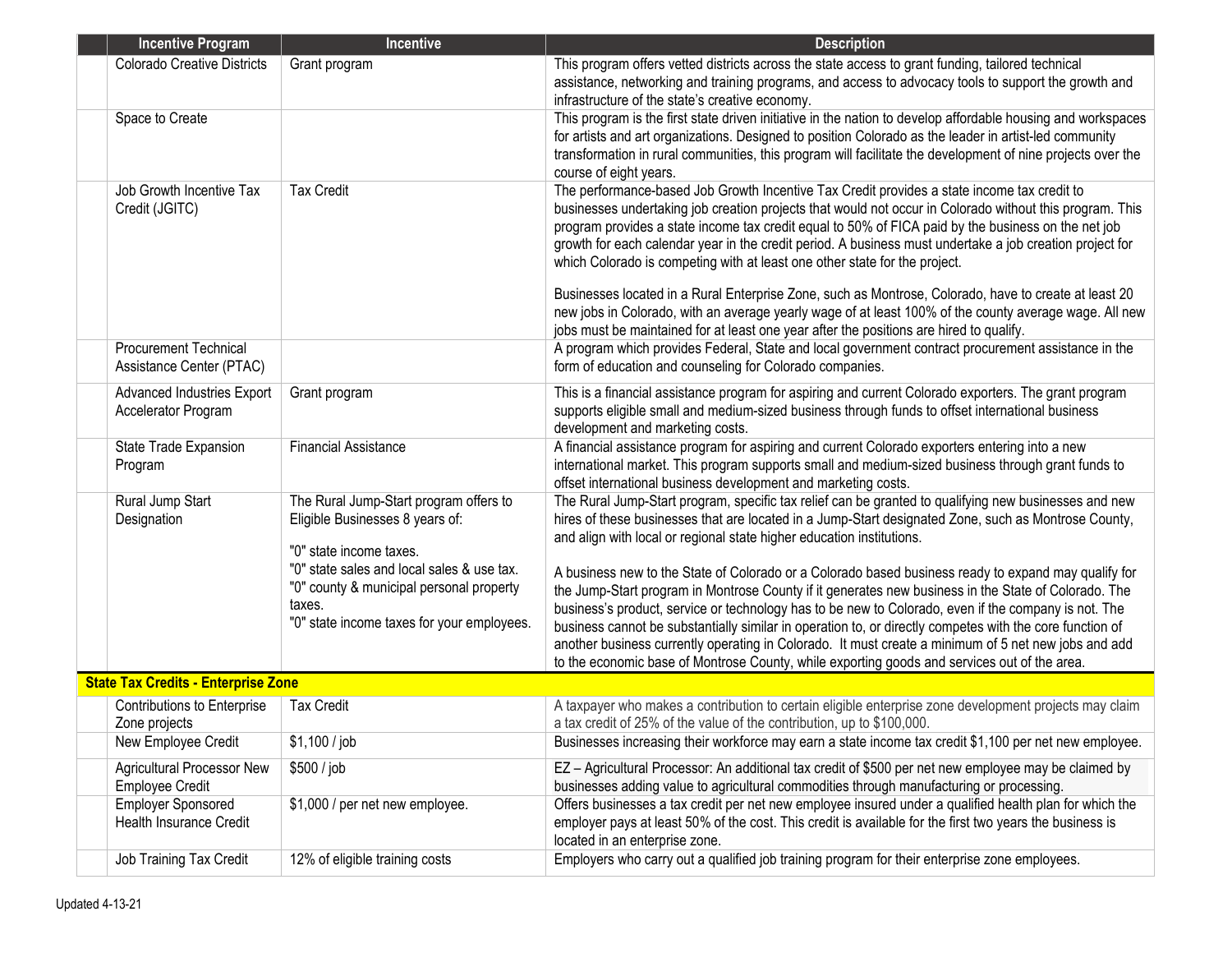| <b>Incentive Program</b>                                 | Incentive                                                                                                                                                                                                                                              | <b>Description</b>                                                                                                                                                                                                                                                                                                                                                                                                                                                                                                                                                                                                                                                                                                                                                                                                                                                                                                                 |
|----------------------------------------------------------|--------------------------------------------------------------------------------------------------------------------------------------------------------------------------------------------------------------------------------------------------------|------------------------------------------------------------------------------------------------------------------------------------------------------------------------------------------------------------------------------------------------------------------------------------------------------------------------------------------------------------------------------------------------------------------------------------------------------------------------------------------------------------------------------------------------------------------------------------------------------------------------------------------------------------------------------------------------------------------------------------------------------------------------------------------------------------------------------------------------------------------------------------------------------------------------------------|
| <b>Colorado Creative Districts</b>                       | Grant program                                                                                                                                                                                                                                          | This program offers vetted districts across the state access to grant funding, tailored technical<br>assistance, networking and training programs, and access to advocacy tools to support the growth and<br>infrastructure of the state's creative economy.                                                                                                                                                                                                                                                                                                                                                                                                                                                                                                                                                                                                                                                                       |
| Space to Create                                          |                                                                                                                                                                                                                                                        | This program is the first state driven initiative in the nation to develop affordable housing and workspaces<br>for artists and art organizations. Designed to position Colorado as the leader in artist-led community<br>transformation in rural communities, this program will facilitate the development of nine projects over the<br>course of eight years.                                                                                                                                                                                                                                                                                                                                                                                                                                                                                                                                                                    |
| Job Growth Incentive Tax<br>Credit (JGITC)               | <b>Tax Credit</b>                                                                                                                                                                                                                                      | The performance-based Job Growth Incentive Tax Credit provides a state income tax credit to<br>businesses undertaking job creation projects that would not occur in Colorado without this program. This<br>program provides a state income tax credit equal to 50% of FICA paid by the business on the net job<br>growth for each calendar year in the credit period. A business must undertake a job creation project for<br>which Colorado is competing with at least one other state for the project.<br>Businesses located in a Rural Enterprise Zone, such as Montrose, Colorado, have to create at least 20<br>new jobs in Colorado, with an average yearly wage of at least 100% of the county average wage. All new                                                                                                                                                                                                        |
| <b>Procurement Technical</b><br>Assistance Center (PTAC) |                                                                                                                                                                                                                                                        | jobs must be maintained for at least one year after the positions are hired to qualify.<br>A program which provides Federal, State and local government contract procurement assistance in the<br>form of education and counseling for Colorado companies.                                                                                                                                                                                                                                                                                                                                                                                                                                                                                                                                                                                                                                                                         |
| Advanced Industries Export<br>Accelerator Program        | Grant program                                                                                                                                                                                                                                          | This is a financial assistance program for aspiring and current Colorado exporters. The grant program<br>supports eligible small and medium-sized business through funds to offset international business<br>development and marketing costs.                                                                                                                                                                                                                                                                                                                                                                                                                                                                                                                                                                                                                                                                                      |
| State Trade Expansion<br>Program                         | <b>Financial Assistance</b>                                                                                                                                                                                                                            | A financial assistance program for aspiring and current Colorado exporters entering into a new<br>international market. This program supports small and medium-sized business through grant funds to<br>offset international business development and marketing costs.                                                                                                                                                                                                                                                                                                                                                                                                                                                                                                                                                                                                                                                             |
| Rural Jump Start<br>Designation                          | The Rural Jump-Start program offers to<br>Eligible Businesses 8 years of:<br>"0" state income taxes.<br>"0" state sales and local sales & use tax.<br>"0" county & municipal personal property<br>taxes.<br>"0" state income taxes for your employees. | The Rural Jump-Start program, specific tax relief can be granted to qualifying new businesses and new<br>hires of these businesses that are located in a Jump-Start designated Zone, such as Montrose County,<br>and align with local or regional state higher education institutions.<br>A business new to the State of Colorado or a Colorado based business ready to expand may qualify for<br>the Jump-Start program in Montrose County if it generates new business in the State of Colorado. The<br>business's product, service or technology has to be new to Colorado, even if the company is not. The<br>business cannot be substantially similar in operation to, or directly competes with the core function of<br>another business currently operating in Colorado. It must create a minimum of 5 net new jobs and add<br>to the economic base of Montrose County, while exporting goods and services out of the area. |
| <b>State Tax Credits - Enterprise Zone</b>               |                                                                                                                                                                                                                                                        |                                                                                                                                                                                                                                                                                                                                                                                                                                                                                                                                                                                                                                                                                                                                                                                                                                                                                                                                    |
| <b>Contributions to Enterprise</b><br>Zone projects      | <b>Tax Credit</b>                                                                                                                                                                                                                                      | A taxpayer who makes a contribution to certain eligible enterprise zone development projects may claim<br>a tax credit of 25% of the value of the contribution, up to \$100,000.                                                                                                                                                                                                                                                                                                                                                                                                                                                                                                                                                                                                                                                                                                                                                   |
| New Employee Credit                                      | $$1,100$ / job                                                                                                                                                                                                                                         | Businesses increasing their workforce may earn a state income tax credit \$1,100 per net new employee.                                                                                                                                                                                                                                                                                                                                                                                                                                                                                                                                                                                                                                                                                                                                                                                                                             |
| Agricultural Processor New<br><b>Employee Credit</b>     | \$500 / job                                                                                                                                                                                                                                            | EZ - Agricultural Processor: An additional tax credit of \$500 per net new employee may be claimed by<br>businesses adding value to agricultural commodities through manufacturing or processing.                                                                                                                                                                                                                                                                                                                                                                                                                                                                                                                                                                                                                                                                                                                                  |
| <b>Employer Sponsored</b><br>Health Insurance Credit     | \$1,000 / per net new employee.                                                                                                                                                                                                                        | Offers businesses a tax credit per net new employee insured under a qualified health plan for which the<br>employer pays at least 50% of the cost. This credit is available for the first two years the business is<br>located in an enterprise zone.                                                                                                                                                                                                                                                                                                                                                                                                                                                                                                                                                                                                                                                                              |
| Job Training Tax Credit                                  | 12% of eligible training costs                                                                                                                                                                                                                         | Employers who carry out a qualified job training program for their enterprise zone employees.                                                                                                                                                                                                                                                                                                                                                                                                                                                                                                                                                                                                                                                                                                                                                                                                                                      |